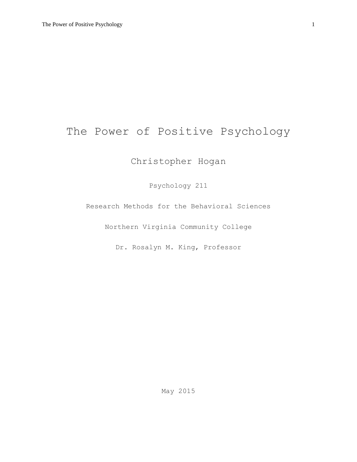# The Power of Positive Psychology

# Christopher Hogan

Psychology 211

Research Methods for the Behavioral Sciences

Northern Virginia Community College

Dr. Rosalyn M. King, Professor

May 2015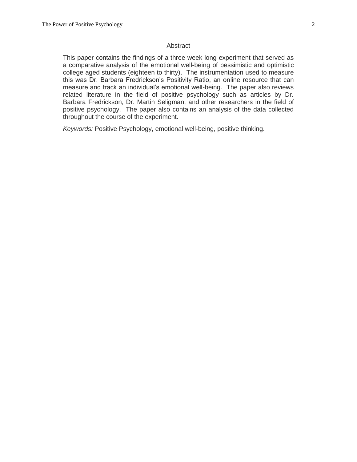#### Abstract

This paper contains the findings of a three week long experiment that served as a comparative analysis of the emotional well-being of pessimistic and optimistic college aged students (eighteen to thirty). The instrumentation used to measure this was Dr. Barbara Fredrickson's Positivity Ratio, an online resource that can measure and track an individual's emotional well-being. The paper also reviews related literature in the field of positive psychology such as articles by Dr. Barbara Fredrickson, Dr. Martin Seligman, and other researchers in the field of positive psychology. The paper also contains an analysis of the data collected throughout the course of the experiment.

*Keywords:* Positive Psychology, emotional well-being, positive thinking.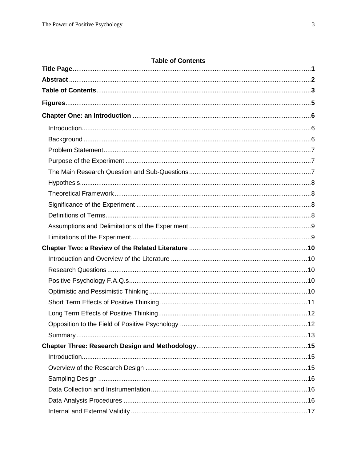# **Table of Contents**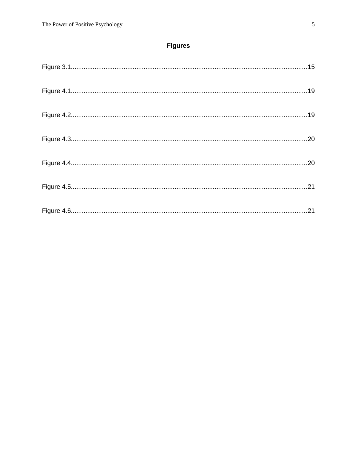# **Figures**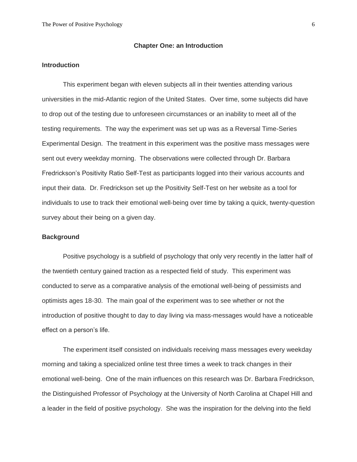#### **Chapter One: an Introduction**

#### **Introduction**

This experiment began with eleven subjects all in their twenties attending various universities in the mid-Atlantic region of the United States. Over time, some subjects did have to drop out of the testing due to unforeseen circumstances or an inability to meet all of the testing requirements. The way the experiment was set up was as a Reversal Time-Series Experimental Design. The treatment in this experiment was the positive mass messages were sent out every weekday morning. The observations were collected through Dr. Barbara Fredrickson's Positivity Ratio Self-Test as participants logged into their various accounts and input their data. Dr. Fredrickson set up the Positivity Self-Test on her website as a tool for individuals to use to track their emotional well-being over time by taking a quick, twenty-question survey about their being on a given day.

#### **Background**

Positive psychology is a subfield of psychology that only very recently in the latter half of the twentieth century gained traction as a respected field of study. This experiment was conducted to serve as a comparative analysis of the emotional well-being of pessimists and optimists ages 18-30. The main goal of the experiment was to see whether or not the introduction of positive thought to day to day living via mass-messages would have a noticeable effect on a person's life.

The experiment itself consisted on individuals receiving mass messages every weekday morning and taking a specialized online test three times a week to track changes in their emotional well-being. One of the main influences on this research was Dr. Barbara Fredrickson, the Distinguished Professor of Psychology at the University of North Carolina at Chapel Hill and a leader in the field of positive psychology. She was the inspiration for the delving into the field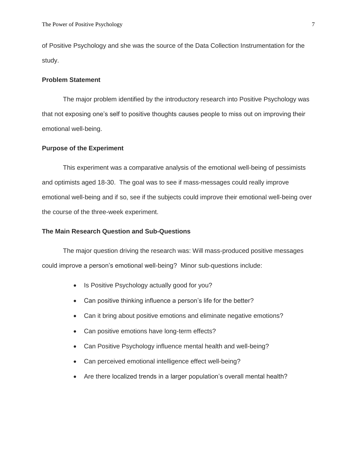of Positive Psychology and she was the source of the Data Collection Instrumentation for the study.

#### **Problem Statement**

The major problem identified by the introductory research into Positive Psychology was that not exposing one's self to positive thoughts causes people to miss out on improving their emotional well-being.

#### **Purpose of the Experiment**

This experiment was a comparative analysis of the emotional well-being of pessimists and optimists aged 18-30. The goal was to see if mass-messages could really improve emotional well-being and if so, see if the subjects could improve their emotional well-being over the course of the three-week experiment.

#### **The Main Research Question and Sub-Questions**

The major question driving the research was: Will mass-produced positive messages could improve a person's emotional well-being? Minor sub-questions include:

- Is Positive Psychology actually good for you?
- Can positive thinking influence a person's life for the better?
- Can it bring about positive emotions and eliminate negative emotions?
- Can positive emotions have long-term effects?
- Can Positive Psychology influence mental health and well-being?
- Can perceived emotional intelligence effect well-being?
- Are there localized trends in a larger population's overall mental health?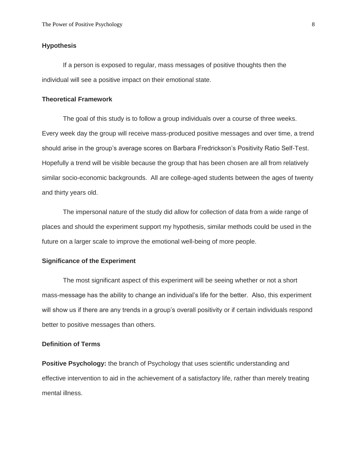#### **Hypothesis**

If a person is exposed to regular, mass messages of positive thoughts then the individual will see a positive impact on their emotional state.

#### **Theoretical Framework**

The goal of this study is to follow a group individuals over a course of three weeks. Every week day the group will receive mass-produced positive messages and over time, a trend should arise in the group's average scores on Barbara Fredrickson's Positivity Ratio Self-Test. Hopefully a trend will be visible because the group that has been chosen are all from relatively similar socio-economic backgrounds. All are college-aged students between the ages of twenty and thirty years old.

The impersonal nature of the study did allow for collection of data from a wide range of places and should the experiment support my hypothesis, similar methods could be used in the future on a larger scale to improve the emotional well-being of more people.

#### **Significance of the Experiment**

The most significant aspect of this experiment will be seeing whether or not a short mass-message has the ability to change an individual's life for the better. Also, this experiment will show us if there are any trends in a group's overall positivity or if certain individuals respond better to positive messages than others.

#### **Definition of Terms**

**Positive Psychology:** the branch of Psychology that uses scientific understanding and effective intervention to aid in the achievement of a satisfactory life, rather than merely treating mental illness.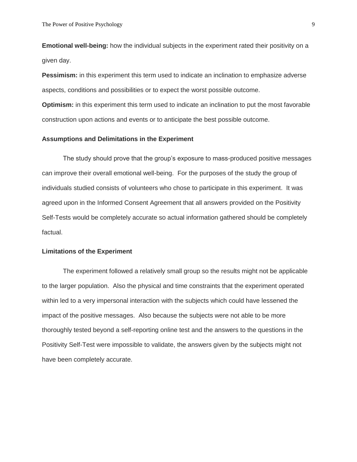**Emotional well-being:** how the individual subjects in the experiment rated their positivity on a given day.

**Pessimism:** in this experiment this term used to indicate an inclination to emphasize adverse aspects, conditions and possibilities or to expect the worst possible outcome. **Optimism:** in this experiment this term used to indicate an inclination to put the most favorable construction upon actions and events or to anticipate the best possible outcome.

#### **Assumptions and Delimitations in the Experiment**

The study should prove that the group's exposure to mass-produced positive messages can improve their overall emotional well-being. For the purposes of the study the group of individuals studied consists of volunteers who chose to participate in this experiment. It was agreed upon in the Informed Consent Agreement that all answers provided on the Positivity Self-Tests would be completely accurate so actual information gathered should be completely factual.

#### **Limitations of the Experiment**

The experiment followed a relatively small group so the results might not be applicable to the larger population. Also the physical and time constraints that the experiment operated within led to a very impersonal interaction with the subjects which could have lessened the impact of the positive messages. Also because the subjects were not able to be more thoroughly tested beyond a self-reporting online test and the answers to the questions in the Positivity Self-Test were impossible to validate, the answers given by the subjects might not have been completely accurate.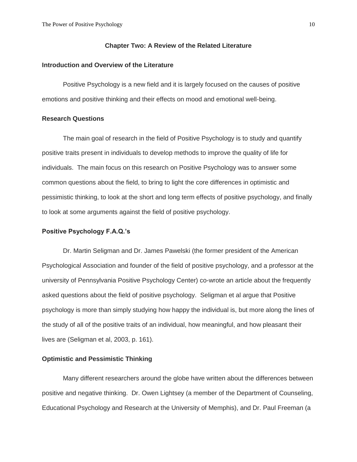#### **Chapter Two: A Review of the Related Literature**

#### **Introduction and Overview of the Literature**

Positive Psychology is a new field and it is largely focused on the causes of positive emotions and positive thinking and their effects on mood and emotional well-being.

#### **Research Questions**

The main goal of research in the field of Positive Psychology is to study and quantify positive traits present in individuals to develop methods to improve the quality of life for individuals. The main focus on this research on Positive Psychology was to answer some common questions about the field, to bring to light the core differences in optimistic and pessimistic thinking, to look at the short and long term effects of positive psychology, and finally to look at some arguments against the field of positive psychology.

#### **Positive Psychology F.A.Q.'s**

Dr. Martin Seligman and Dr. James Pawelski (the former president of the American Psychological Association and founder of the field of positive psychology, and a professor at the university of Pennsylvania Positive Psychology Center) co-wrote an article about the frequently asked questions about the field of positive psychology. Seligman et al argue that Positive psychology is more than simply studying how happy the individual is, but more along the lines of the study of all of the positive traits of an individual, how meaningful, and how pleasant their lives are (Seligman et al, 2003, p. 161).

#### **Optimistic and Pessimistic Thinking**

Many different researchers around the globe have written about the differences between positive and negative thinking. Dr. Owen Lightsey (a member of the Department of Counseling, Educational Psychology and Research at the University of Memphis), and Dr. Paul Freeman (a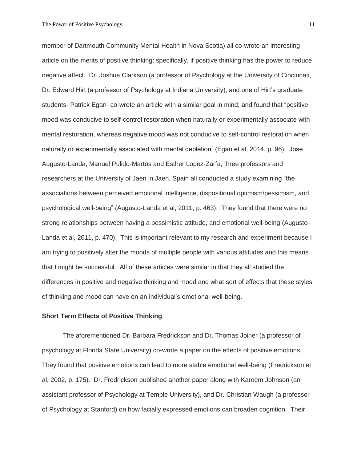member of Dartmouth Community Mental Health in Nova Scotia) all co-wrote an interesting article on the merits of positive thinking; specifically, if positive thinking has the power to reduce negative affect. Dr. Joshua Clarkson (a professor of Psychology at the University of Cincinnati, Dr. Edward Hirt (a professor of Psychology at Indiana University), and one of Hirt's graduate students- Patrick Egan- co-wrote an article with a similar goal in mind; and found that "positive mood was conducive to self-control restoration when naturally or experimentally associate with mental restoration, whereas negative mood was not conducive to self-control restoration when naturally or experimentally associated with mental depletion" (Egan et al, 2014, p. 96). Jose Augusto-Landa, Manuel Pulido-Martos and Esther Lopez-Zarfa, three professors and researchers at the University of Jaen in Jaen, Spain all conducted a study examining "the associations between perceived emotional intelligence, dispositional optimism/pessimism, and psychological well-being" (Augusto-Landa et al, 2011, p. 463). They found that there were no strong relationships between having a pessimistic attitude, and emotional well-being (Augusto-Landa et al, 2011, p. 470). This is important relevant to my research and experiment because I am trying to positively alter the moods of multiple people with various attitudes and this means that I might be successful. All of these articles were similar in that they all studied the differences in positive and negative thinking and mood and what sort of effects that these styles of thinking and mood can have on an individual's emotional well-being.

#### **Short Term Effects of Positive Thinking**

The aforementioned Dr. Barbara Fredrickson and Dr. Thomas Joiner (a professor of psychology at Florida State University) co-wrote a paper on the effects of positive emotions. They found that positive emotions can lead to more stable emotional well-being (Fredrickson et al, 2002, p. 175). Dr. Fredrickson published another paper along with Kareem Johnson (an assistant professor of Psychology at Temple University), and Dr. Christian Waugh (a professor of Psychology at Stanford) on how facially expressed emotions can broaden cognition. Their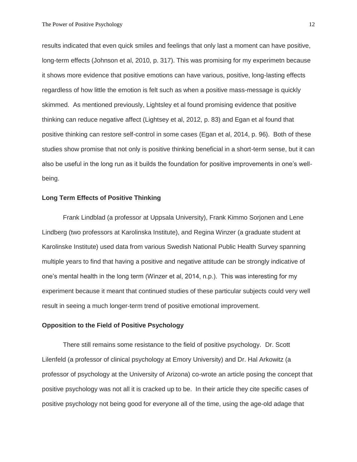results indicated that even quick smiles and feelings that only last a moment can have positive, long-term effects (Johnson et al, 2010, p. 317). This was promising for my experimetn because it shows more evidence that positive emotions can have various, positive, long-lasting effects regardless of how little the emotion is felt such as when a positive mass-message is quickly skimmed. As mentioned previously, Lightsley et al found promising evidence that positive thinking can reduce negative affect (Lightsey et al, 2012, p. 83) and Egan et al found that positive thinking can restore self-control in some cases (Egan et al, 2014, p. 96). Both of these studies show promise that not only is positive thinking beneficial in a short-term sense, but it can also be useful in the long run as it builds the foundation for positive improvements in one's wellbeing.

#### **Long Term Effects of Positive Thinking**

Frank Lindblad (a professor at Uppsala University), Frank Kimmo Sorjonen and Lene Lindberg (two professors at Karolinska Institute), and Regina Winzer (a graduate student at Karolinske Institute) used data from various Swedish National Public Health Survey spanning multiple years to find that having a positive and negative attitude can be strongly indicative of one's mental health in the long term (Winzer et al, 2014, n.p.). This was interesting for my experiment because it meant that continued studies of these particular subjects could very well result in seeing a much longer-term trend of positive emotional improvement.

#### **Opposition to the Field of Positive Psychology**

There still remains some resistance to the field of positive psychology. Dr. Scott Lilenfeld (a professor of clinical psychology at Emory University) and Dr. Hal Arkowitz (a professor of psychology at the University of Arizona) co-wrote an article posing the concept that positive psychology was not all it is cracked up to be. In their article they cite specific cases of positive psychology not being good for everyone all of the time, using the age-old adage that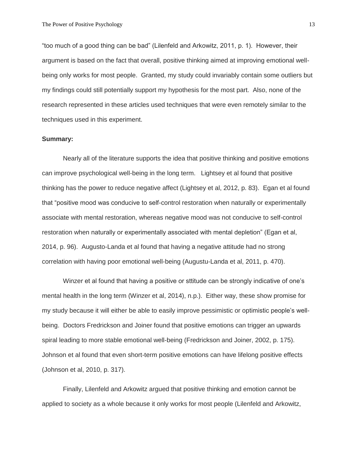"too much of a good thing can be bad" (Lilenfeld and Arkowitz, 2011, p. 1). However, their argument is based on the fact that overall, positive thinking aimed at improving emotional wellbeing only works for most people. Granted, my study could invariably contain some outliers but my findings could still potentially support my hypothesis for the most part. Also, none of the research represented in these articles used techniques that were even remotely similar to the techniques used in this experiment.

#### **Summary:**

Nearly all of the literature supports the idea that positive thinking and positive emotions can improve psychological well-being in the long term. Lightsey et al found that positive thinking has the power to reduce negative affect (Lightsey et al, 2012, p. 83). Egan et al found that "positive mood was conducive to self-control restoration when naturally or experimentally associate with mental restoration, whereas negative mood was not conducive to self-control restoration when naturally or experimentally associated with mental depletion" (Egan et al, 2014, p. 96). Augusto-Landa et al found that having a negative attitude had no strong correlation with having poor emotional well-being (Augustu-Landa et al, 2011, p. 470).

Winzer et al found that having a positive or sttitude can be strongly indicative of one's mental health in the long term (Winzer et al, 2014), n.p.). Either way, these show promise for my study because it will either be able to easily improve pessimistic or optimistic people's wellbeing. Doctors Fredrickson and Joiner found that positive emotions can trigger an upwards spiral leading to more stable emotional well-being (Fredrickson and Joiner, 2002, p. 175). Johnson et al found that even short-term positive emotions can have lifelong positive effects (Johnson et al, 2010, p. 317).

Finally, Lilenfeld and Arkowitz argued that positive thinking and emotion cannot be applied to society as a whole because it only works for most people (Lilenfeld and Arkowitz,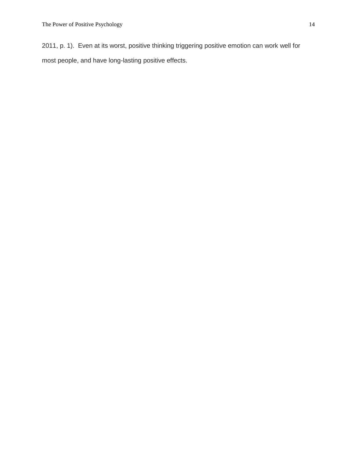2011, p. 1). Even at its worst, positive thinking triggering positive emotion can work well for most people, and have long-lasting positive effects.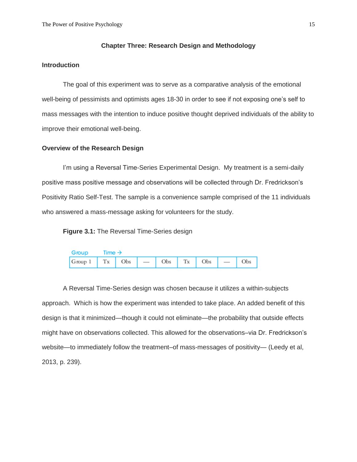#### **Chapter Three: Research Design and Methodology**

#### **Introduction**

The goal of this experiment was to serve as a comparative analysis of the emotional well-being of pessimists and optimists ages 18-30 in order to see if not exposing one's self to mass messages with the intention to induce positive thought deprived individuals of the ability to improve their emotional well-being.

#### **Overview of the Research Design**

I'm using a Reversal Time-Series Experimental Design. My treatment is a semi-daily positive mass positive message and observations will be collected through Dr. Fredrickson's Positivity Ratio Self-Test. The sample is a convenience sample comprised of the 11 individuals who answered a mass-message asking for volunteers for the study.

**Figure 3.1:** The Reversal Time-Series design

| Group | Time $\rightarrow$ |  |  |  |  |
|-------|--------------------|--|--|--|--|
|       |                    |  |  |  |  |

A Reversal Time-Series design was chosen because it utilizes a within-subjects approach. Which is how the experiment was intended to take place. An added benefit of this design is that it minimized—though it could not eliminate—the probability that outside effects might have on observations collected. This allowed for the observations–via Dr. Fredrickson's website—to immediately follow the treatment–of mass-messages of positivity— (Leedy et al, 2013, p. 239).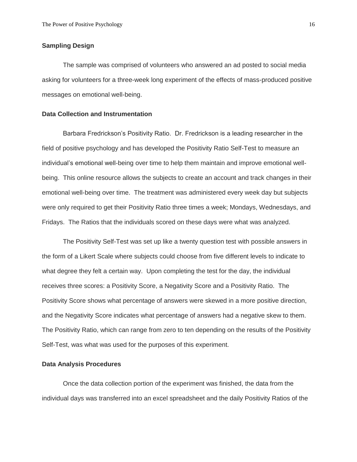#### **Sampling Design**

The sample was comprised of volunteers who answered an ad posted to social media asking for volunteers for a three-week long experiment of the effects of mass-produced positive messages on emotional well-being.

#### **Data Collection and Instrumentation**

Barbara Fredrickson's Positivity Ratio. Dr. Fredrickson is a leading researcher in the field of positive psychology and has developed the Positivity Ratio Self-Test to measure an individual's emotional well-being over time to help them maintain and improve emotional wellbeing. This online resource allows the subjects to create an account and track changes in their emotional well-being over time. The treatment was administered every week day but subjects were only required to get their Positivity Ratio three times a week; Mondays, Wednesdays, and Fridays. The Ratios that the individuals scored on these days were what was analyzed.

The Positivity Self-Test was set up like a twenty question test with possible answers in the form of a Likert Scale where subjects could choose from five different levels to indicate to what degree they felt a certain way. Upon completing the test for the day, the individual receives three scores: a Positivity Score, a Negativity Score and a Positivity Ratio. The Positivity Score shows what percentage of answers were skewed in a more positive direction, and the Negativity Score indicates what percentage of answers had a negative skew to them. The Positivity Ratio, which can range from zero to ten depending on the results of the Positivity Self-Test, was what was used for the purposes of this experiment.

#### **Data Analysis Procedures**

Once the data collection portion of the experiment was finished, the data from the individual days was transferred into an excel spreadsheet and the daily Positivity Ratios of the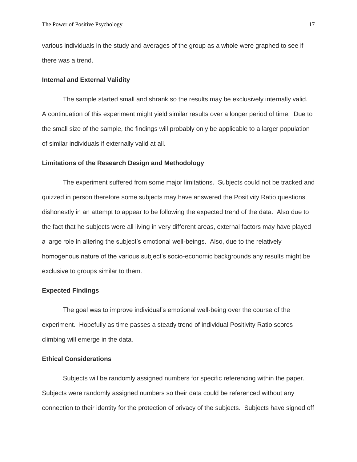various individuals in the study and averages of the group as a whole were graphed to see if there was a trend.

#### **Internal and External Validity**

The sample started small and shrank so the results may be exclusively internally valid. A continuation of this experiment might yield similar results over a longer period of time.Due to the small size of the sample, the findings will probably only be applicable to a larger population of similar individuals if externally valid at all.

#### **Limitations of the Research Design and Methodology**

The experiment suffered from some major limitations. Subjects could not be tracked and quizzed in person therefore some subjects may have answered the Positivity Ratio questions dishonestly in an attempt to appear to be following the expected trend of the data. Also due to the fact that he subjects were all living in very different areas, external factors may have played a large role in altering the subject's emotional well-beings. Also, due to the relatively homogenous nature of the various subject's socio-economic backgrounds any results might be exclusive to groups similar to them.

#### **Expected Findings**

The goal was to improve individual's emotional well-being over the course of the experiment. Hopefully as time passes a steady trend of individual Positivity Ratio scores climbing will emerge in the data.

#### **Ethical Considerations**

Subjects will be randomly assigned numbers for specific referencing within the paper. Subjects were randomly assigned numbers so their data could be referenced without any connection to their identity for the protection of privacy of the subjects. Subjects have signed off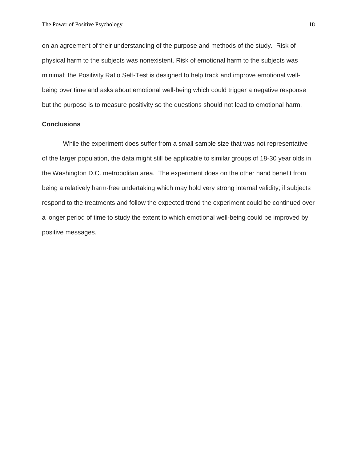on an agreement of their understanding of the purpose and methods of the study. Risk of physical harm to the subjects was nonexistent. Risk of emotional harm to the subjects was minimal; the Positivity Ratio Self-Test is designed to help track and improve emotional wellbeing over time and asks about emotional well-being which could trigger a negative response but the purpose is to measure positivity so the questions should not lead to emotional harm.

#### **Conclusions**

While the experiment does suffer from a small sample size that was not representative of the larger population, the data might still be applicable to similar groups of 18-30 year olds in the Washington D.C. metropolitan area. The experiment does on the other hand benefit from being a relatively harm-free undertaking which may hold very strong internal validity; if subjects respond to the treatments and follow the expected trend the experiment could be continued over a longer period of time to study the extent to which emotional well-being could be improved by positive messages.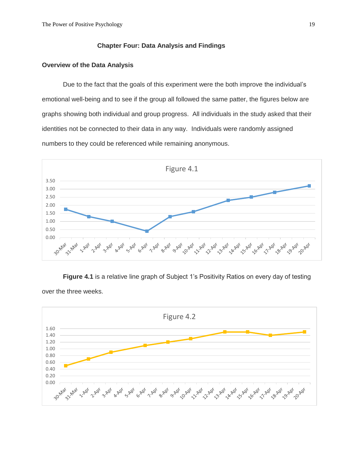### **Chapter Four: Data Analysis and Findings**

#### **Overview of the Data Analysis**

Due to the fact that the goals of this experiment were the both improve the individual's emotional well-being and to see if the group all followed the same patter, the figures below are graphs showing both individual and group progress. All individuals in the study asked that their identities not be connected to their data in any way. Individuals were randomly assigned numbers to they could be referenced while remaining anonymous.



**Figure 4.1** is a relative line graph of Subject 1's Positivity Ratios on every day of testing over the three weeks.

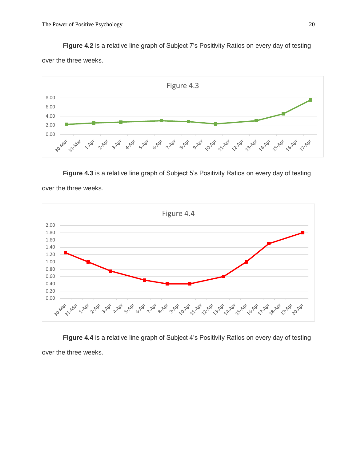**Figure 4.2** is a relative line graph of Subject 7's Positivity Ratios on every day of testing

over the three weeks.



**Figure 4.3** is a relative line graph of Subject 5's Positivity Ratios on every day of testing

over the three weeks.



**Figure 4.4** is a relative line graph of Subject 4's Positivity Ratios on every day of testing over the three weeks.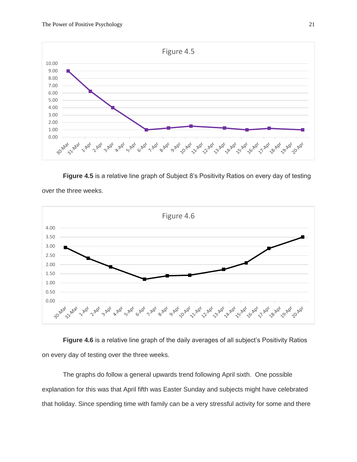

**Figure 4.5** is a relative line graph of Subject 8's Positivity Ratios on every day of testing



over the three weeks.

**Figure 4.6** is a relative line graph of the daily averages of all subject's Positivity Ratios on every day of testing over the three weeks.

The graphs do follow a general upwards trend following April sixth. One possible explanation for this was that April fifth was Easter Sunday and subjects might have celebrated that holiday. Since spending time with family can be a very stressful activity for some and there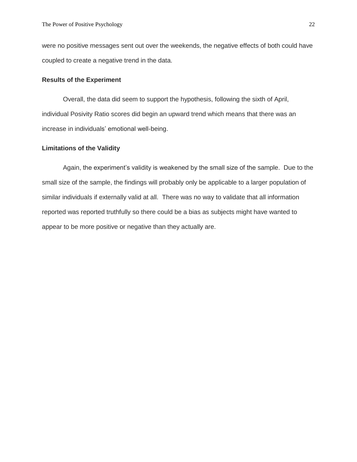were no positive messages sent out over the weekends, the negative effects of both could have coupled to create a negative trend in the data.

#### **Results of the Experiment**

Overall, the data did seem to support the hypothesis, following the sixth of April, individual Posivity Ratio scores did begin an upward trend which means that there was an increase in individuals' emotional well-being.

#### **Limitations of the Validity**

Again, the experiment's validity is weakened by the small size of the sample. Due to the small size of the sample, the findings will probably only be applicable to a larger population of similar individuals if externally valid at all. There was no way to validate that all information reported was reported truthfully so there could be a bias as subjects might have wanted to appear to be more positive or negative than they actually are.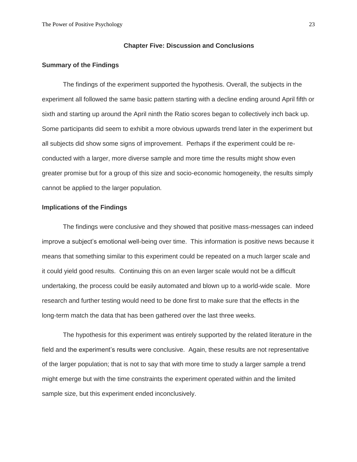#### **Chapter Five: Discussion and Conclusions**

#### **Summary of the Findings**

The findings of the experiment supported the hypothesis. Overall, the subjects in the experiment all followed the same basic pattern starting with a decline ending around April fifth or sixth and starting up around the April ninth the Ratio scores began to collectively inch back up. Some participants did seem to exhibit a more obvious upwards trend later in the experiment but all subjects did show some signs of improvement. Perhaps if the experiment could be reconducted with a larger, more diverse sample and more time the results might show even greater promise but for a group of this size and socio-economic homogeneity, the results simply cannot be applied to the larger population.

#### **Implications of the Findings**

The findings were conclusive and they showed that positive mass-messages can indeed improve a subject's emotional well-being over time. This information is positive news because it means that something similar to this experiment could be repeated on a much larger scale and it could yield good results. Continuing this on an even larger scale would not be a difficult undertaking, the process could be easily automated and blown up to a world-wide scale. More research and further testing would need to be done first to make sure that the effects in the long-term match the data that has been gathered over the last three weeks.

The hypothesis for this experiment was entirely supported by the related literature in the field and the experiment's results were conclusive. Again, these results are not representative of the larger population; that is not to say that with more time to study a larger sample a trend might emerge but with the time constraints the experiment operated within and the limited sample size, but this experiment ended inconclusively.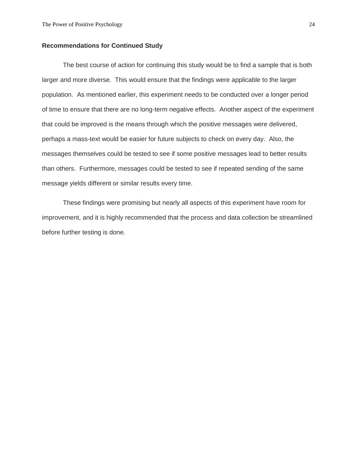#### **Recommendations for Continued Study**

The best course of action for continuing this study would be to find a sample that is both larger and more diverse. This would ensure that the findings were applicable to the larger population. As mentioned earlier, this experiment needs to be conducted over a longer period of time to ensure that there are no long-term negative effects. Another aspect of the experiment that could be improved is the means through which the positive messages were delivered, perhaps a mass-text would be easier for future subjects to check on every day. Also, the messages themselves could be tested to see if some positive messages lead to better results than others. Furthermore, messages could be tested to see if repeated sending of the same message yields different or similar results every time.

These findings were promising but nearly all aspects of this experiment have room for improvement, and it is highly recommended that the process and data collection be streamlined before further testing is done.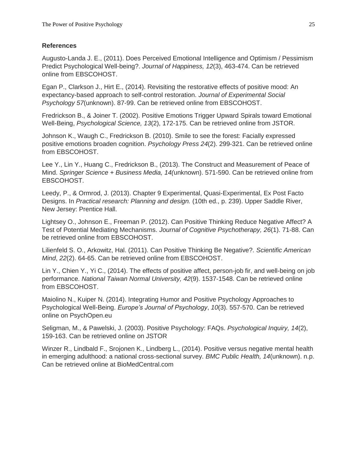## **References**

Augusto-Landa J. E., (2011). Does Perceived Emotional Intelligence and Optimism / Pessimism Predict Psychological Well-being?. *Journal of Happiness, 12*(3), 463-474. Can be retrieved online from EBSCOHOST.

Egan P., Clarkson J., Hirt E., (2014). Revisiting the restorative effects of positive mood: An expectancy-based approach to self-control restoration. *Journal of Experimental Social Psychology 57*(unknown). 87-99. Can be retrieved online from EBSCOHOST.

Fredrickson B., & Joiner T. (2002). Positive Emotions Trigger Upward Spirals toward Emotional Well-Being, *Psychological Science, 13*(2), 172-175. Can be retrieved online from JSTOR.

Johnson K., Waugh C., Fredrickson B. (2010). Smile to see the forest: Facially expressed positive emotions broaden cognition. *Psychology Press 24*(2). 299-321. Can be retrieved online from EBSCOHOST.

Lee Y., Lin Y., Huang C., Fredrickson B., (2013). The Construct and Measurement of Peace of Mind. *Springer Science + Business Media, 14(*unknown). 571-590. Can be retrieved online from EBSCOHOST.

Leedy, P., & Ormrod, J. (2013). Chapter 9 Experimental, Quasi-Experimental, Ex Post Facto Designs. In *Practical research: Planning and design.* (10th ed., p. 239). Upper Saddle River, New Jersey: Prentice Hall.

Lightsey O., Johnson E., Freeman P. (2012). Can Positive Thinking Reduce Negative Affect? A Test of Potential Mediating Mechanisms. *Journal of Cognitive Psychotherapy, 26*(1). 71-88. Can be retrieved online from EBSCOHOST.

Lilienfeld S. O., Arkowitz, Hal. (2011). Can Positive Thinking Be Negative?. *Scientific American Mind*, *22*(2). 64-65. Can be retrieved online from EBSCOHOST.

Lin Y., Chien Y., Yi C., (2014). The effects of positive affect, person-job fir, and well-being on job performance. *National Taiwan Normal University, 42*(9). 1537-1548. Can be retrieved online from EBSCOHOST.

Maiolino N., Kuiper N. (2014). Integrating Humor and Positive Psychology Approaches to Psychological Well-Being. *Europe's Journal of Psychology*, *10*(3). 557-570. Can be retrieved online on PsychOpen.eu

Seligman, M., & Pawelski, J. (2003). Positive Psychology: FAQs. *Psychological Inquiry, 14*(2), 159-163. Can be retrieved online on JSTOR

Winzer R., Lindbald F., Srojonen K., Lindberg L., (2014). Positive versus negative mental health in emerging adulthood: a national cross-sectional survey. *BMC Public Health, 14*(unknown). n.p. Can be retrieved online at BioMedCentral.com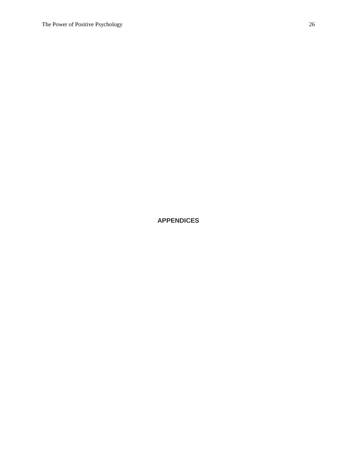# **APPENDICES**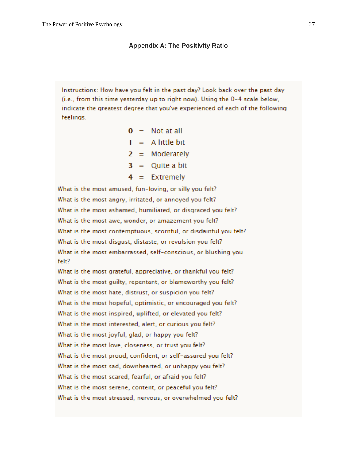#### **Appendix A: The Positivity Ratio**

Instructions: How have you felt in the past day? Look back over the past day (i.e., from this time yesterday up to right now). Using the 0-4 scale below, indicate the greatest degree that you've experienced of each of the following feelings.

| 0 |          | $=$ Not at all |
|---|----------|----------------|
| Т | $\equiv$ | A little bit   |
| 2 |          | $=$ Moderately |
| 3 | $=$      | Quite a bit    |
| 4 |          | $=$ Extremely  |

What is the most amused, fun-loving, or silly you felt? What is the most angry, irritated, or annoyed you felt? What is the most ashamed, humiliated, or disgraced you felt? What is the most awe, wonder, or amazement you felt? What is the most contemptuous, scornful, or disdainful you felt? What is the most disgust, distaste, or revulsion you felt? What is the most embarrassed, self-conscious, or blushing you felt?

What is the most grateful, appreciative, or thankful you felt? What is the most guilty, repentant, or blameworthy you felt? What is the most hate, distrust, or suspicion you felt? What is the most hopeful, optimistic, or encouraged you felt? What is the most inspired, uplifted, or elevated you felt? What is the most interested, alert, or curious you felt? What is the most joyful, glad, or happy you felt? What is the most love, closeness, or trust you felt? What is the most proud, confident, or self-assured you felt? What is the most sad, downhearted, or unhappy you felt? What is the most scared, fearful, or afraid you felt? What is the most serene, content, or peaceful you felt? What is the most stressed, nervous, or overwhelmed you felt?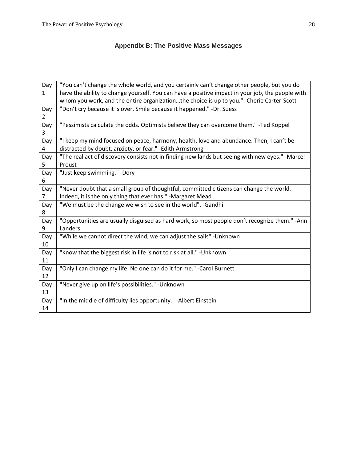# **Appendix B: The Positive Mass Messages**

| Day | "You can't change the whole world, and you certainly can't change other people, but you do       |
|-----|--------------------------------------------------------------------------------------------------|
| 1   | have the ability to change yourself. You can have a positive impact in your job, the people with |
|     | whom you work, and the entire organizationthe choice is up to you." - Cherie Carter-Scott        |
| Day | "Don't cry because it is over. Smile because it happened." -Dr. Suess                            |
| 2   |                                                                                                  |
| Day | "Pessimists calculate the odds. Optimists believe they can overcome them." -Ted Koppel           |
| 3   |                                                                                                  |
| Day | "I keep my mind focused on peace, harmony, health, love and abundance. Then, I can't be          |
| 4   | distracted by doubt, anxiety, or fear." - Edith Armstrong                                        |
| Day | "The real act of discovery consists not in finding new lands but seeing with new eyes." -Marcel  |
| 5.  | Proust                                                                                           |
| Day | "Just keep swimming." -Dory                                                                      |
| 6   |                                                                                                  |
| Day | "Never doubt that a small group of thoughtful, committed citizens can change the world.          |
| 7   | Indeed, it is the only thing that ever has." -Margaret Mead                                      |
| Day | "We must be the change we wish to see in the world". -Gandhi                                     |
| 8   |                                                                                                  |
| Day | "Opportunities are usually disguised as hard work, so most people don't recognize them." - Ann   |
| 9   | Landers                                                                                          |
| Day | "While we cannot direct the wind, we can adjust the sails" - Unknown                             |
| 10  |                                                                                                  |
| Day | "Know that the biggest risk in life is not to risk at all." - Unknown                            |
| 11  |                                                                                                  |
| Day | "Only I can change my life. No one can do it for me." - Carol Burnett                            |
| 12  |                                                                                                  |
| Day | "Never give up on life's possibilities." - Unknown                                               |
| 13  |                                                                                                  |
| Day | "In the middle of difficulty lies opportunity." - Albert Einstein                                |
| 14  |                                                                                                  |